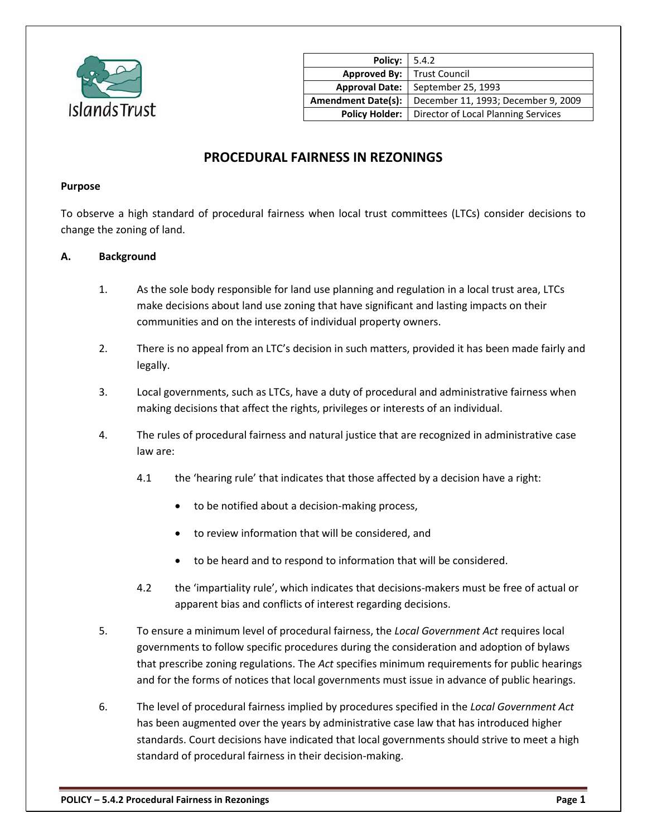

| <b>Policy:</b> 5.4.2                |                                                             |
|-------------------------------------|-------------------------------------------------------------|
| <b>Approved By:</b>   Trust Council |                                                             |
| <b>Approval Date:</b>               | September 25, 1993                                          |
| <b>Amendment Date(s):</b>           | December 11, 1993; December 9, 2009                         |
|                                     | <b>Policy Holder:</b>   Director of Local Planning Services |

# **PROCEDURAL FAIRNESS IN REZONINGS**

#### **Purpose**

To observe a high standard of procedural fairness when local trust committees (LTCs) consider decisions to change the zoning of land.

#### **A. Background**

- 1. As the sole body responsible for land use planning and regulation in a local trust area, LTCs make decisions about land use zoning that have significant and lasting impacts on their communities and on the interests of individual property owners.
- 2. There is no appeal from an LTC's decision in such matters, provided it has been made fairly and legally.
- 3. Local governments, such as LTCs, have a duty of procedural and administrative fairness when making decisions that affect the rights, privileges or interests of an individual.
- 4. The rules of procedural fairness and natural justice that are recognized in administrative case law are:
	- 4.1 the 'hearing rule' that indicates that those affected by a decision have a right:
		- to be notified about a decision-making process,
		- to review information that will be considered, and
		- to be heard and to respond to information that will be considered.
	- 4.2 the 'impartiality rule', which indicates that decisions-makers must be free of actual or apparent bias and conflicts of interest regarding decisions.
- 5. To ensure a minimum level of procedural fairness, the *Local Government Act* requires local governments to follow specific procedures during the consideration and adoption of bylaws that prescribe zoning regulations. The *Act* specifies minimum requirements for public hearings and for the forms of notices that local governments must issue in advance of public hearings.
- 6. The level of procedural fairness implied by procedures specified in the *Local Government Act* has been augmented over the years by administrative case law that has introduced higher standards. Court decisions have indicated that local governments should strive to meet a high standard of procedural fairness in their decision-making.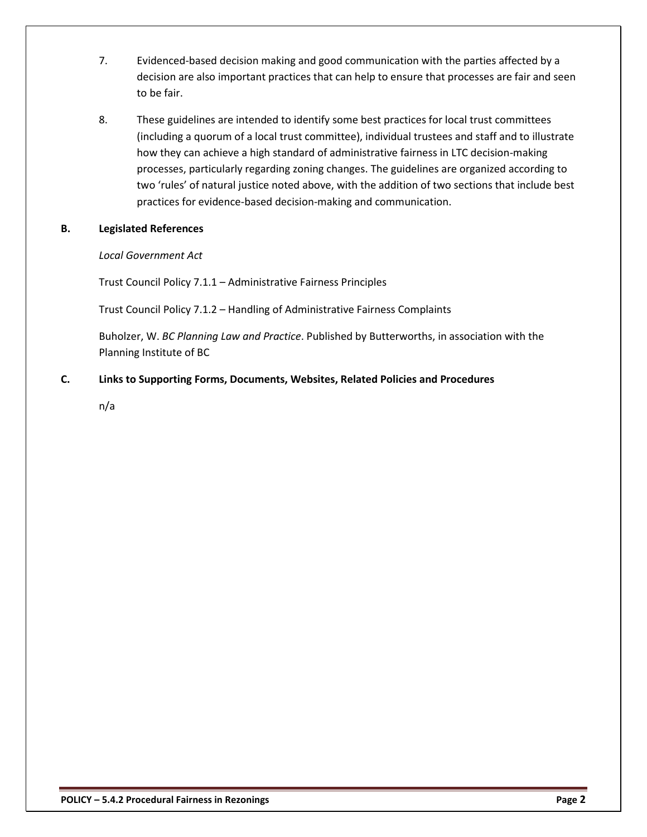- 7. Evidenced-based decision making and good communication with the parties affected by a decision are also important practices that can help to ensure that processes are fair and seen to be fair.
- 8. These guidelines are intended to identify some best practices for local trust committees (including a quorum of a local trust committee), individual trustees and staff and to illustrate how they can achieve a high standard of administrative fairness in LTC decision-making processes, particularly regarding zoning changes. The guidelines are organized according to two 'rules' of natural justice noted above, with the addition of two sections that include best practices for evidence-based decision-making and communication.

## **B. Legislated References**

## *Local Government Act*

Trust Council Policy 7.1.1 – Administrative Fairness Principles

Trust Council Policy 7.1.2 – Handling of Administrative Fairness Complaints

Buholzer, W. *BC Planning Law and Practice*. Published by Butterworths, in association with the Planning Institute of BC

## **C. Links to Supporting Forms, Documents, Websites, Related Policies and Procedures**

n/a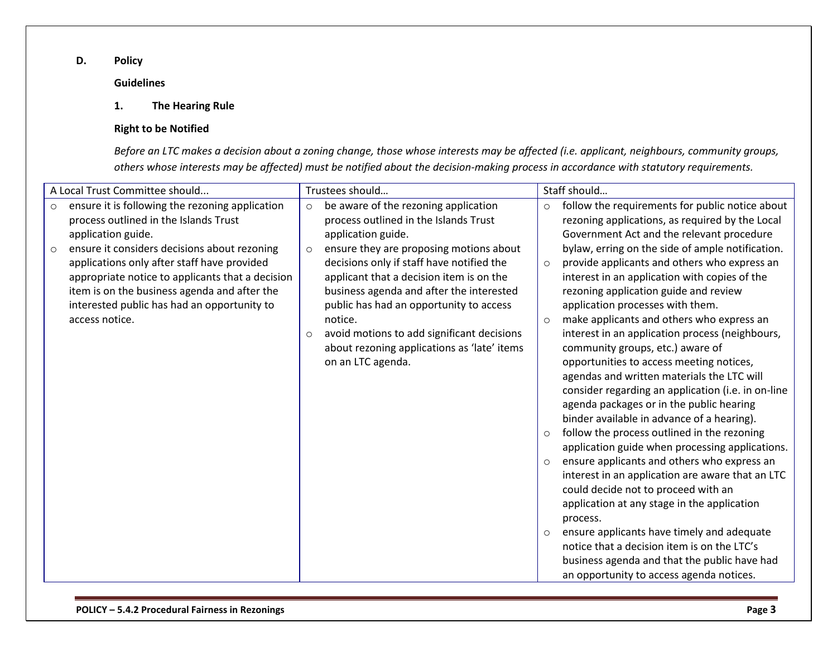## **D. Policy**

## **Guidelines**

## **1. The Hearing Rule**

#### **Right to be Notified**

*Before an LTC makes a decision about a zoning change, those whose interests may be affected (i.e. applicant, neighbours, community groups, others whose interests may be affected) must be notified about the decision-making process in accordance with statutory requirements.*

| A Local Trust Committee should |                                                                                                                                                                                                                                                                  |                    | Trustees should                                                                                                                                                                                                                                                                                                                                      |                                                     | Staff should                                                                                                                                                                                                                                                                                                                                                                                                                                                                                                                                                                                                                                                                                                                                                                                                                                                                                                                                                                                                                                                                                                 |
|--------------------------------|------------------------------------------------------------------------------------------------------------------------------------------------------------------------------------------------------------------------------------------------------------------|--------------------|------------------------------------------------------------------------------------------------------------------------------------------------------------------------------------------------------------------------------------------------------------------------------------------------------------------------------------------------------|-----------------------------------------------------|--------------------------------------------------------------------------------------------------------------------------------------------------------------------------------------------------------------------------------------------------------------------------------------------------------------------------------------------------------------------------------------------------------------------------------------------------------------------------------------------------------------------------------------------------------------------------------------------------------------------------------------------------------------------------------------------------------------------------------------------------------------------------------------------------------------------------------------------------------------------------------------------------------------------------------------------------------------------------------------------------------------------------------------------------------------------------------------------------------------|
| $\circ$                        | ensure it is following the rezoning application<br>process outlined in the Islands Trust<br>application guide.                                                                                                                                                   | $\circ$            | be aware of the rezoning application<br>process outlined in the Islands Trust<br>application guide.                                                                                                                                                                                                                                                  | $\circ$                                             | follow the requirements for public notice about<br>rezoning applications, as required by the Local<br>Government Act and the relevant procedure                                                                                                                                                                                                                                                                                                                                                                                                                                                                                                                                                                                                                                                                                                                                                                                                                                                                                                                                                              |
| $\circ$                        | ensure it considers decisions about rezoning<br>applications only after staff have provided<br>appropriate notice to applicants that a decision<br>item is on the business agenda and after the<br>interested public has had an opportunity to<br>access notice. | $\circ$<br>$\circ$ | ensure they are proposing motions about<br>decisions only if staff have notified the<br>applicant that a decision item is on the<br>business agenda and after the interested<br>public has had an opportunity to access<br>notice.<br>avoid motions to add significant decisions<br>about rezoning applications as 'late' items<br>on an LTC agenda. | $\circ$<br>$\circ$<br>$\circ$<br>$\circ$<br>$\circ$ | bylaw, erring on the side of ample notification.<br>provide applicants and others who express an<br>interest in an application with copies of the<br>rezoning application guide and review<br>application processes with them.<br>make applicants and others who express an<br>interest in an application process (neighbours,<br>community groups, etc.) aware of<br>opportunities to access meeting notices,<br>agendas and written materials the LTC will<br>consider regarding an application (i.e. in on-line<br>agenda packages or in the public hearing<br>binder available in advance of a hearing).<br>follow the process outlined in the rezoning<br>application guide when processing applications.<br>ensure applicants and others who express an<br>interest in an application are aware that an LTC<br>could decide not to proceed with an<br>application at any stage in the application<br>process.<br>ensure applicants have timely and adequate<br>notice that a decision item is on the LTC's<br>business agenda and that the public have had<br>an opportunity to access agenda notices. |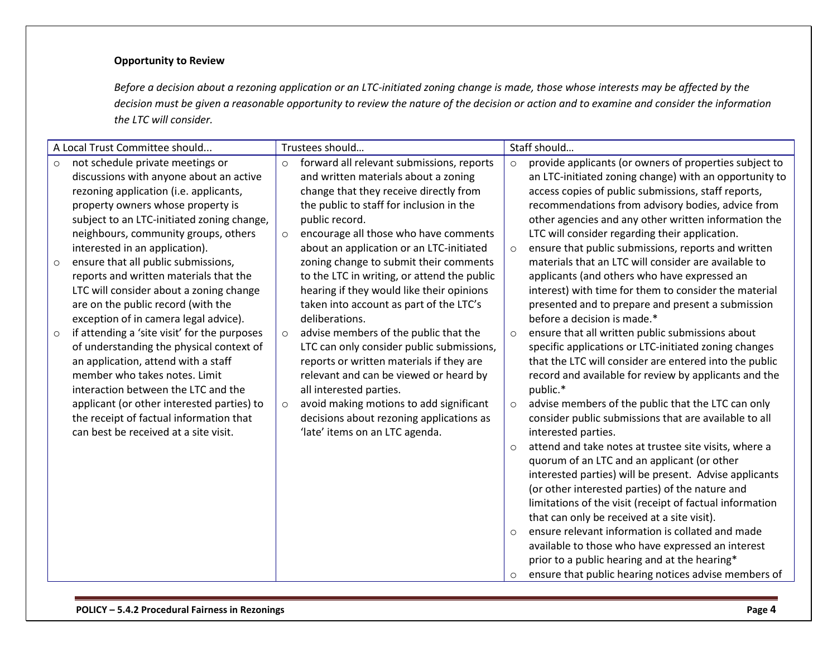## **Opportunity to Review**

*Before a decision about a rezoning application or an LTC-initiated zoning change is made, those whose interests may be affected by the decision must be given a reasonable opportunity to review the nature of the decision or action and to examine and consider the information the LTC will consider.*

| A Local Trust Committee should                                                                                                                                                                                                                                                                                                                                                                                                                                                                                                                                                                                                                                                                     | Trustees should                                                                                                                                                                                                                                                                                                                                                                                                                                                                                                                                                                                                                                                                                | Staff should                                                                                                                                                                                                                                                                                                                                                                                                                                                                                                                                                                                                                                                                                                                                                                                                                                                                                                        |
|----------------------------------------------------------------------------------------------------------------------------------------------------------------------------------------------------------------------------------------------------------------------------------------------------------------------------------------------------------------------------------------------------------------------------------------------------------------------------------------------------------------------------------------------------------------------------------------------------------------------------------------------------------------------------------------------------|------------------------------------------------------------------------------------------------------------------------------------------------------------------------------------------------------------------------------------------------------------------------------------------------------------------------------------------------------------------------------------------------------------------------------------------------------------------------------------------------------------------------------------------------------------------------------------------------------------------------------------------------------------------------------------------------|---------------------------------------------------------------------------------------------------------------------------------------------------------------------------------------------------------------------------------------------------------------------------------------------------------------------------------------------------------------------------------------------------------------------------------------------------------------------------------------------------------------------------------------------------------------------------------------------------------------------------------------------------------------------------------------------------------------------------------------------------------------------------------------------------------------------------------------------------------------------------------------------------------------------|
| not schedule private meetings or<br>$\circ$<br>discussions with anyone about an active<br>rezoning application (i.e. applicants,<br>property owners whose property is<br>subject to an LTC-initiated zoning change,<br>neighbours, community groups, others<br>interested in an application).<br>ensure that all public submissions,<br>$\circ$<br>reports and written materials that the<br>LTC will consider about a zoning change<br>are on the public record (with the<br>exception of in camera legal advice).<br>if attending a 'site visit' for the purposes<br>$\circ$<br>of understanding the physical context of<br>an application, attend with a staff<br>member who takes notes. Limit | forward all relevant submissions, reports<br>$\circ$<br>and written materials about a zoning<br>change that they receive directly from<br>the public to staff for inclusion in the<br>public record.<br>encourage all those who have comments<br>$\circ$<br>about an application or an LTC-initiated<br>zoning change to submit their comments<br>to the LTC in writing, or attend the public<br>hearing if they would like their opinions<br>taken into account as part of the LTC's<br>deliberations.<br>advise members of the public that the<br>$\circ$<br>LTC can only consider public submissions,<br>reports or written materials if they are<br>relevant and can be viewed or heard by | provide applicants (or owners of properties subject to<br>$\circ$<br>an LTC-initiated zoning change) with an opportunity to<br>access copies of public submissions, staff reports,<br>recommendations from advisory bodies, advice from<br>other agencies and any other written information the<br>LTC will consider regarding their application.<br>ensure that public submissions, reports and written<br>$\circ$<br>materials that an LTC will consider are available to<br>applicants (and others who have expressed an<br>interest) with time for them to consider the material<br>presented and to prepare and present a submission<br>before a decision is made.*<br>ensure that all written public submissions about<br>$\circ$<br>specific applications or LTC-initiated zoning changes<br>that the LTC will consider are entered into the public<br>record and available for review by applicants and the |
| interaction between the LTC and the<br>applicant (or other interested parties) to<br>the receipt of factual information that<br>can best be received at a site visit.                                                                                                                                                                                                                                                                                                                                                                                                                                                                                                                              | all interested parties.<br>avoid making motions to add significant<br>$\circ$<br>decisions about rezoning applications as<br>'late' items on an LTC agenda.                                                                                                                                                                                                                                                                                                                                                                                                                                                                                                                                    | public.*<br>advise members of the public that the LTC can only<br>$\circ$<br>consider public submissions that are available to all<br>interested parties.<br>attend and take notes at trustee site visits, where a<br>$\Omega$<br>quorum of an LTC and an applicant (or other<br>interested parties) will be present. Advise applicants<br>(or other interested parties) of the nature and<br>limitations of the visit (receipt of factual information<br>that can only be received at a site visit).<br>ensure relevant information is collated and made<br>$\Omega$<br>available to those who have expressed an interest<br>prior to a public hearing and at the hearing*<br>ensure that public hearing notices advise members of<br>O                                                                                                                                                                            |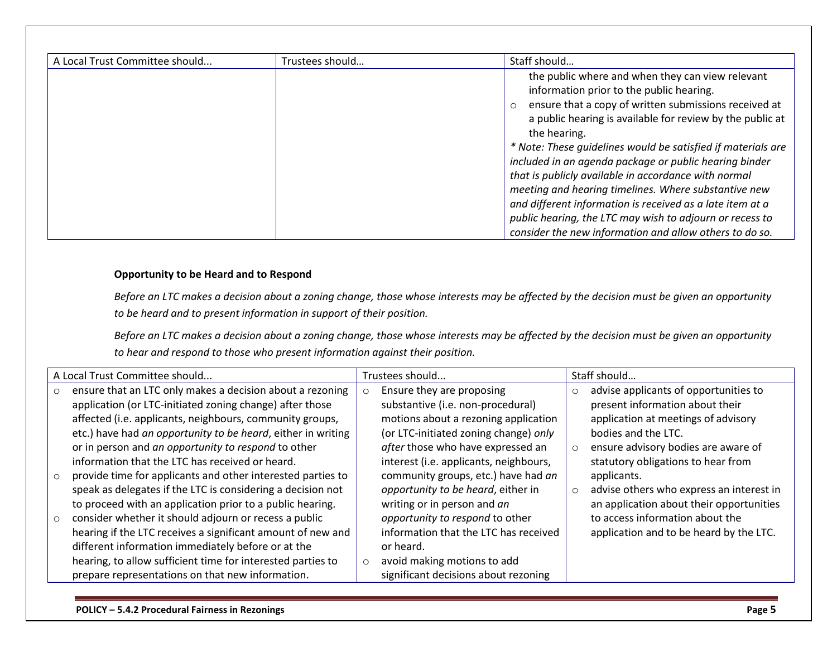| A Local Trust Committee should | Trustees should | Staff should                                                                                                                                                                                                                                                                                                                                                                                                                                                                                                                                                                                                                                                                |
|--------------------------------|-----------------|-----------------------------------------------------------------------------------------------------------------------------------------------------------------------------------------------------------------------------------------------------------------------------------------------------------------------------------------------------------------------------------------------------------------------------------------------------------------------------------------------------------------------------------------------------------------------------------------------------------------------------------------------------------------------------|
|                                |                 | the public where and when they can view relevant<br>information prior to the public hearing.<br>ensure that a copy of written submissions received at<br>$\circ$<br>a public hearing is available for review by the public at<br>the hearing.<br>* Note: These guidelines would be satisfied if materials are<br>included in an agenda package or public hearing binder<br>that is publicly available in accordance with normal<br>meeting and hearing timelines. Where substantive new<br>and different information is received as a late item at a<br>public hearing, the LTC may wish to adjourn or recess to<br>consider the new information and allow others to do so. |

#### **Opportunity to be Heard and to Respond**

*Before an LTC makes a decision about a zoning change, those whose interests may be affected by the decision must be given an opportunity to be heard and to present information in support of their position.*

*Before an LTC makes a decision about a zoning change, those whose interests may be affected by the decision must be given an opportunity to hear and respond to those who present information against their position.*

| A Local Trust Committee should |                                                              |  | Trustees should                        |         | Staff should                             |  |
|--------------------------------|--------------------------------------------------------------|--|----------------------------------------|---------|------------------------------------------|--|
| $\circ$                        | ensure that an LTC only makes a decision about a rezoning    |  | Ensure they are proposing              | $\circ$ | advise applicants of opportunities to    |  |
|                                | application (or LTC-initiated zoning change) after those     |  | substantive (i.e. non-procedural)      |         | present information about their          |  |
|                                | affected (i.e. applicants, neighbours, community groups,     |  | motions about a rezoning application   |         | application at meetings of advisory      |  |
|                                | etc.) have had an opportunity to be heard, either in writing |  | (or LTC-initiated zoning change) only  |         | bodies and the LTC.                      |  |
|                                | or in person and an opportunity to respond to other          |  | after those who have expressed an      | $\circ$ | ensure advisory bodies are aware of      |  |
|                                | information that the LTC has received or heard.              |  | interest (i.e. applicants, neighbours, |         | statutory obligations to hear from       |  |
| $\circ$                        | provide time for applicants and other interested parties to  |  | community groups, etc.) have had an    |         | applicants.                              |  |
|                                | speak as delegates if the LTC is considering a decision not  |  | opportunity to be heard, either in     | $\circ$ | advise others who express an interest in |  |
|                                | to proceed with an application prior to a public hearing.    |  | writing or in person and an            |         | an application about their opportunities |  |
| $\circ$                        | consider whether it should adjourn or recess a public        |  | opportunity to respond to other        |         | to access information about the          |  |
|                                | hearing if the LTC receives a significant amount of new and  |  | information that the LTC has received  |         | application and to be heard by the LTC.  |  |
|                                | different information immediately before or at the           |  | or heard.                              |         |                                          |  |
|                                | hearing, to allow sufficient time for interested parties to  |  | avoid making motions to add            |         |                                          |  |
|                                | prepare representations on that new information.             |  | significant decisions about rezoning   |         |                                          |  |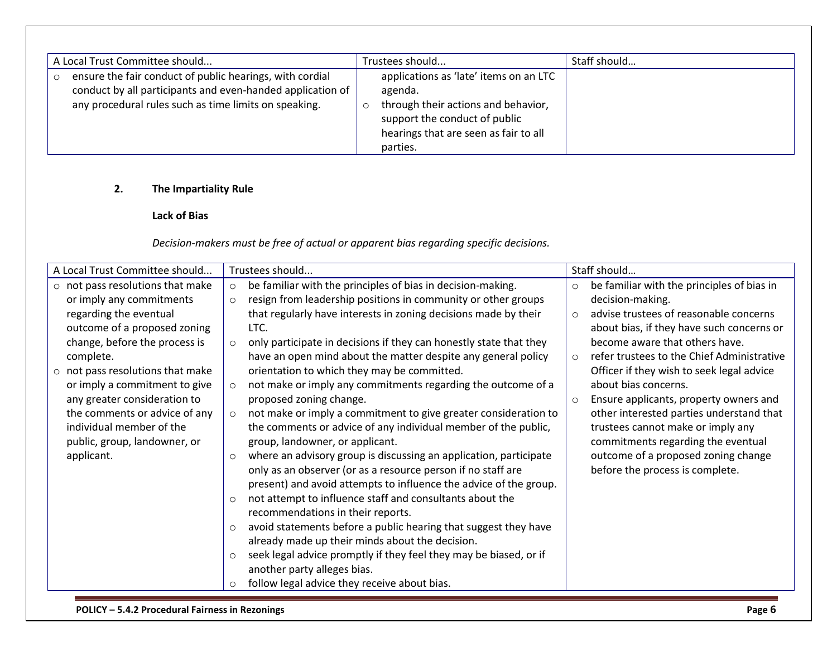| A Local Trust Committee should |                                                            | Trustees should |                                        | Staff should |
|--------------------------------|------------------------------------------------------------|-----------------|----------------------------------------|--------------|
|                                | ensure the fair conduct of public hearings, with cordial   |                 | applications as 'late' items on an LTC |              |
|                                | conduct by all participants and even-handed application of |                 | agenda.                                |              |
|                                | any procedural rules such as time limits on speaking.      |                 | through their actions and behavior,    |              |
|                                |                                                            |                 | support the conduct of public          |              |
|                                |                                                            |                 | hearings that are seen as fair to all  |              |
|                                |                                                            |                 | parties.                               |              |

# **2. The Impartiality Rule**

## **Lack of Bias**

*Decision-makers must be free of actual or apparent bias regarding specific decisions.*

| A Local Trust Committee should         | Trustees should                                                               | Staff should                                          |
|----------------------------------------|-------------------------------------------------------------------------------|-------------------------------------------------------|
| $\circ$ not pass resolutions that make | be familiar with the principles of bias in decision-making.<br>$\circ$        | be familiar with the principles of bias in<br>$\circ$ |
| or imply any commitments               | resign from leadership positions in community or other groups<br>$\circ$      | decision-making.                                      |
| regarding the eventual                 | that regularly have interests in zoning decisions made by their               | advise trustees of reasonable concerns<br>$\circ$     |
| outcome of a proposed zoning           | LTC.                                                                          | about bias, if they have such concerns or             |
| change, before the process is          | only participate in decisions if they can honestly state that they<br>$\circ$ | become aware that others have.                        |
| complete.                              | have an open mind about the matter despite any general policy                 | refer trustees to the Chief Administrative<br>$\circ$ |
| $\circ$ not pass resolutions that make | orientation to which they may be committed.                                   | Officer if they wish to seek legal advice             |
| or imply a commitment to give          | not make or imply any commitments regarding the outcome of a<br>$\circ$       | about bias concerns.                                  |
| any greater consideration to           | proposed zoning change.                                                       | Ensure applicants, property owners and<br>$\circ$     |
| the comments or advice of any          | not make or imply a commitment to give greater consideration to<br>$\circ$    | other interested parties understand that              |
| individual member of the               | the comments or advice of any individual member of the public,                | trustees cannot make or imply any                     |
| public, group, landowner, or           | group, landowner, or applicant.                                               | commitments regarding the eventual                    |
| applicant.                             | where an advisory group is discussing an application, participate<br>$\circ$  | outcome of a proposed zoning change                   |
|                                        | only as an observer (or as a resource person if no staff are                  | before the process is complete.                       |
|                                        | present) and avoid attempts to influence the advice of the group.             |                                                       |
|                                        | not attempt to influence staff and consultants about the                      |                                                       |
|                                        | recommendations in their reports.                                             |                                                       |
|                                        | avoid statements before a public hearing that suggest they have<br>$\circ$    |                                                       |
|                                        | already made up their minds about the decision.                               |                                                       |
|                                        | seek legal advice promptly if they feel they may be biased, or if<br>$\circ$  |                                                       |
|                                        | another party alleges bias.                                                   |                                                       |
|                                        | follow legal advice they receive about bias.<br>$\circ$                       |                                                       |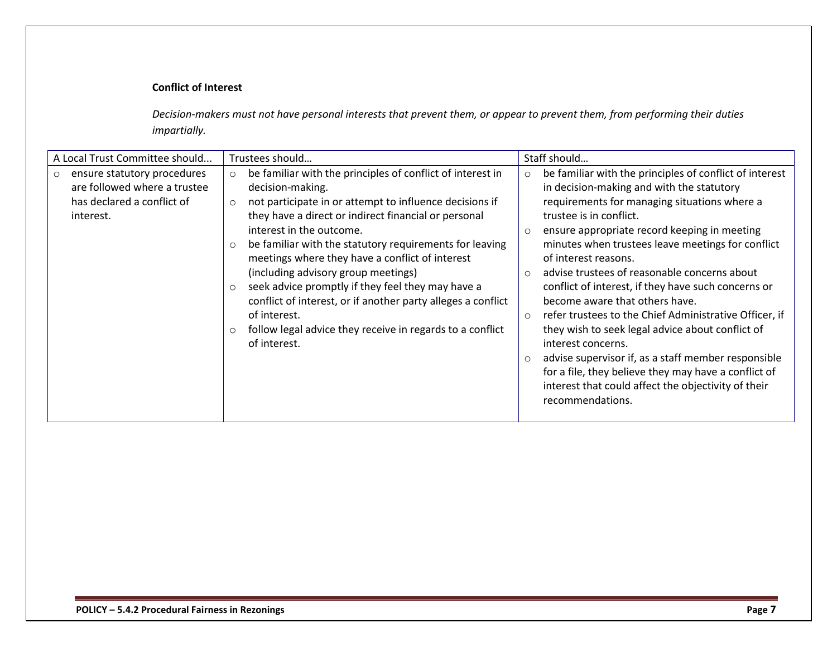## **Conflict of Interest**

*Decision-makers must not have personal interests that prevent them, or appear to prevent them, from performing their duties impartially.*

| A Local Trust Committee should                                                                                    | Trustees should                                                                                                                                                                                                                                                                                                                                                                                                                                                                                                                                                                                                                                             | Staff should                                                                                                                                                                                                                                                                                                                                                                                                                                                                                                                                                                                                                                                                                                                                                                                                                               |
|-------------------------------------------------------------------------------------------------------------------|-------------------------------------------------------------------------------------------------------------------------------------------------------------------------------------------------------------------------------------------------------------------------------------------------------------------------------------------------------------------------------------------------------------------------------------------------------------------------------------------------------------------------------------------------------------------------------------------------------------------------------------------------------------|--------------------------------------------------------------------------------------------------------------------------------------------------------------------------------------------------------------------------------------------------------------------------------------------------------------------------------------------------------------------------------------------------------------------------------------------------------------------------------------------------------------------------------------------------------------------------------------------------------------------------------------------------------------------------------------------------------------------------------------------------------------------------------------------------------------------------------------------|
| ensure statutory procedures<br>$\circ$<br>are followed where a trustee<br>has declared a conflict of<br>interest. | be familiar with the principles of conflict of interest in<br>$\circ$<br>decision-making.<br>not participate in or attempt to influence decisions if<br>$\circ$<br>they have a direct or indirect financial or personal<br>interest in the outcome.<br>be familiar with the statutory requirements for leaving<br>$\circ$<br>meetings where they have a conflict of interest<br>(including advisory group meetings)<br>seek advice promptly if they feel they may have a<br>$\circ$<br>conflict of interest, or if another party alleges a conflict<br>of interest.<br>follow legal advice they receive in regards to a conflict<br>$\circ$<br>of interest. | be familiar with the principles of conflict of interest<br>$\circ$<br>in decision-making and with the statutory<br>requirements for managing situations where a<br>trustee is in conflict.<br>ensure appropriate record keeping in meeting<br>$\circ$<br>minutes when trustees leave meetings for conflict<br>of interest reasons.<br>advise trustees of reasonable concerns about<br>$\circ$<br>conflict of interest, if they have such concerns or<br>become aware that others have.<br>refer trustees to the Chief Administrative Officer, if<br>$\circ$<br>they wish to seek legal advice about conflict of<br>interest concerns.<br>advise supervisor if, as a staff member responsible<br>$\circ$<br>for a file, they believe they may have a conflict of<br>interest that could affect the objectivity of their<br>recommendations. |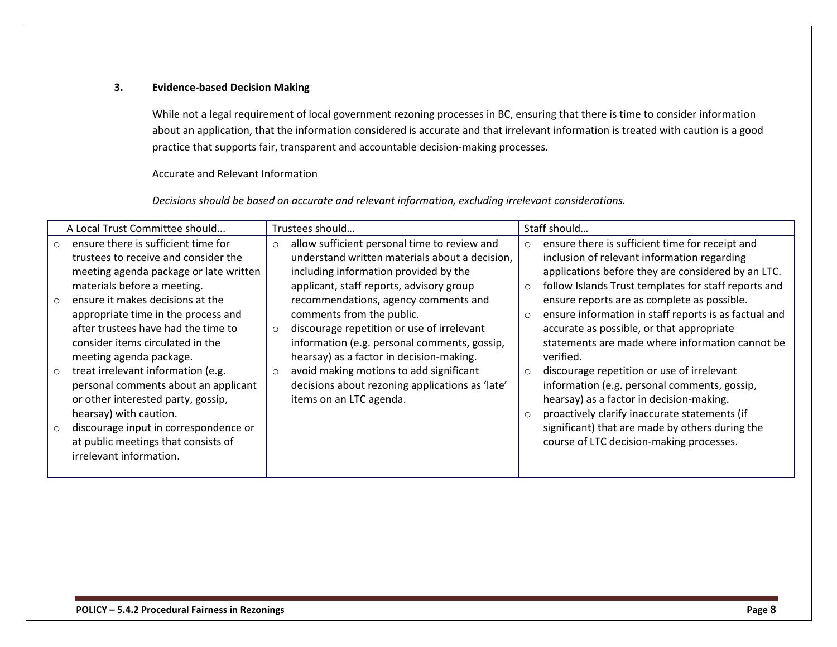#### **3. Evidence-based Decision Making**

While not a legal requirement of local government rezoning processes in BC, ensuring that there is time to consider information about an application, that the information considered is accurate and that irrelevant information is treated with caution is a good practice that supports fair, transparent and accountable decision-making processes.

Accurate and Relevant Information

*Decisions should be based on accurate and relevant information, excluding irrelevant considerations.*

| A Local Trust Committee should |                                                                                                                                            | Trustees should |                                                                                                                                                                     | Staff should       |                                                                                                                                                                                         |  |
|--------------------------------|--------------------------------------------------------------------------------------------------------------------------------------------|-----------------|---------------------------------------------------------------------------------------------------------------------------------------------------------------------|--------------------|-----------------------------------------------------------------------------------------------------------------------------------------------------------------------------------------|--|
| $\circ$                        | ensure there is sufficient time for<br>trustees to receive and consider the                                                                | $\circ$         | allow sufficient personal time to review and<br>understand written materials about a decision,                                                                      | $\circ$            | ensure there is sufficient time for receipt and<br>inclusion of relevant information regarding                                                                                          |  |
| $\circ$                        | meeting agenda package or late written<br>materials before a meeting.<br>ensure it makes decisions at the                                  |                 | including information provided by the<br>applicant, staff reports, advisory group<br>recommendations, agency comments and                                           | $\circ$            | applications before they are considered by an LTC.<br>follow Islands Trust templates for staff reports and<br>ensure reports are as complete as possible.                               |  |
|                                | appropriate time in the process and<br>after trustees have had the time to<br>consider items circulated in the<br>meeting agenda package.  | $\circ$         | comments from the public.<br>discourage repetition or use of irrelevant<br>information (e.g. personal comments, gossip,<br>hearsay) as a factor in decision-making. | $\circ$            | ensure information in staff reports is as factual and<br>accurate as possible, or that appropriate<br>statements are made where information cannot be<br>verified.                      |  |
| $\circ$                        | treat irrelevant information (e.g.<br>personal comments about an applicant<br>or other interested party, gossip,<br>hearsay) with caution. | $\circ$         | avoid making motions to add significant<br>decisions about rezoning applications as 'late'<br>items on an LTC agenda.                                               | $\circ$<br>$\circ$ | discourage repetition or use of irrelevant<br>information (e.g. personal comments, gossip,<br>hearsay) as a factor in decision-making.<br>proactively clarify inaccurate statements (if |  |
| $\circ$                        | discourage input in correspondence or<br>at public meetings that consists of<br>irrelevant information.                                    |                 |                                                                                                                                                                     |                    | significant) that are made by others during the<br>course of LTC decision-making processes.                                                                                             |  |